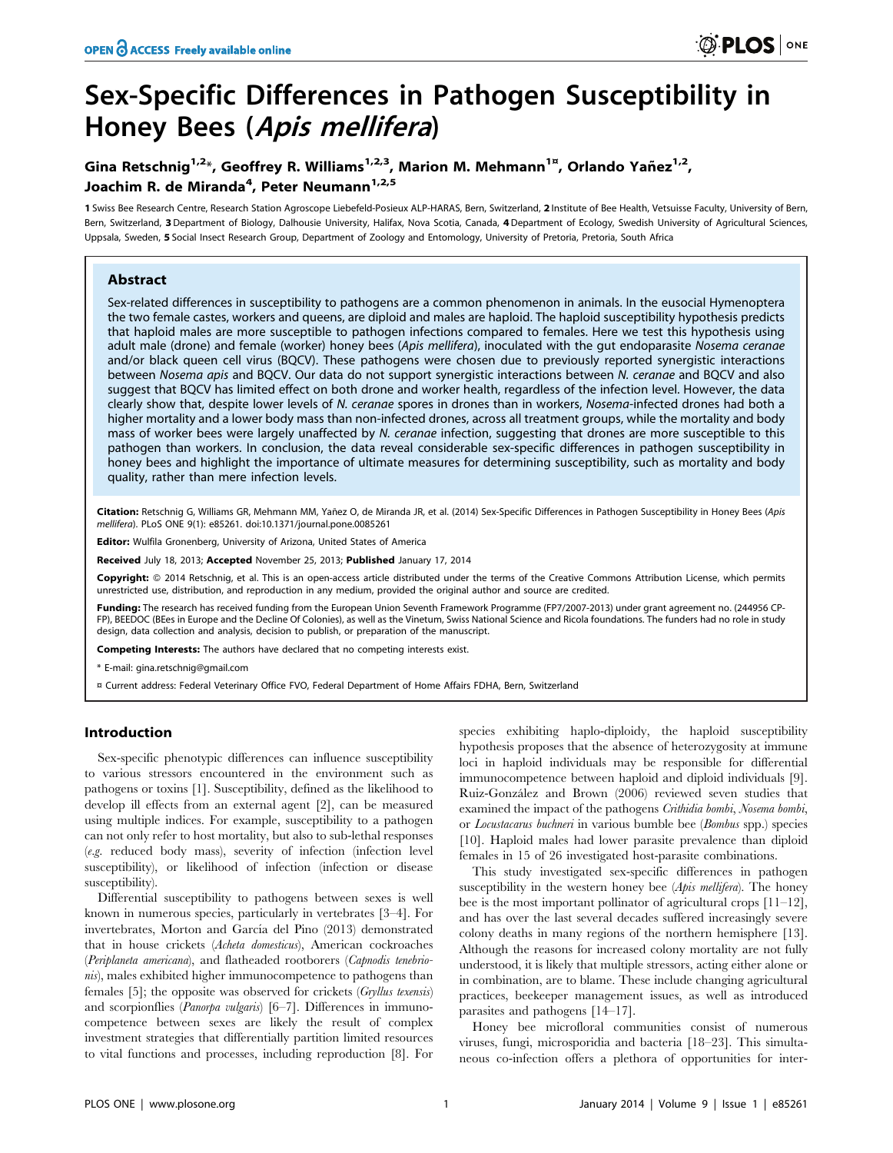# Sex-Specific Differences in Pathogen Susceptibility in Honey Bees (Apis mellifera)

# Gina Retschnig<sup>1,2\*</sup>, Geoffrey R. Williams<sup>1,2,3</sup>, Marion M. Mehmann<sup>1¤</sup>, Orlando Yañez<sup>1,2</sup>, Joachim R. de Miranda<sup>4</sup>, Peter Neumann<sup>1,2,5</sup>

1 Swiss Bee Research Centre, Research Station Agroscope Liebefeld-Posieux ALP-HARAS, Bern, Switzerland, 2 Institute of Bee Health, Vetsuisse Faculty, University of Bern, Bern, Switzerland, 3 Department of Biology, Dalhousie University, Halifax, Nova Scotia, Canada, 4 Department of Ecology, Swedish University of Agricultural Sciences, Uppsala, Sweden, 5 Social Insect Research Group, Department of Zoology and Entomology, University of Pretoria, Pretoria, South Africa

# Abstract

Sex-related differences in susceptibility to pathogens are a common phenomenon in animals. In the eusocial Hymenoptera the two female castes, workers and queens, are diploid and males are haploid. The haploid susceptibility hypothesis predicts that haploid males are more susceptible to pathogen infections compared to females. Here we test this hypothesis using adult male (drone) and female (worker) honey bees (Apis mellifera), inoculated with the qut endoparasite Nosema ceranae and/or black queen cell virus (BQCV). These pathogens were chosen due to previously reported synergistic interactions between Nosema apis and BQCV. Our data do not support synergistic interactions between N. ceranae and BQCV and also suggest that BQCV has limited effect on both drone and worker health, regardless of the infection level. However, the data clearly show that, despite lower levels of N. ceranae spores in drones than in workers, Nosema-infected drones had both a higher mortality and a lower body mass than non-infected drones, across all treatment groups, while the mortality and body mass of worker bees were largely unaffected by N. ceranae infection, suggesting that drones are more susceptible to this pathogen than workers. In conclusion, the data reveal considerable sex-specific differences in pathogen susceptibility in honey bees and highlight the importance of ultimate measures for determining susceptibility, such as mortality and body quality, rather than mere infection levels.

Citation: Retschnig G, Williams GR, Mehmann MM, Yañez O, de Miranda JR, et al. (2014) Sex-Specific Differences in Pathogen Susceptibility in Honey Bees (Apis mellifera). PLoS ONE 9(1): e85261. doi:10.1371/journal.pone.0085261

Editor: Wulfila Gronenberg, University of Arizona, United States of America

Received July 18, 2013; Accepted November 25, 2013; Published January 17, 2014

**Copyright:** © 2014 Retschnig, et al. This is an open-access article distributed under the terms of the Creative Commons Attribution License, which permits unrestricted use, distribution, and reproduction in any medium, provided the original author and source are credited.

Funding: The research has received funding from the European Union Seventh Framework Programme (FP7/2007-2013) under grant agreement no. (244956 CP-FP), BEEDOC (BEes in Europe and the Decline Of Colonies), as well as the Vinetum, Swiss National Science and Ricola foundations. The funders had no role in study design, data collection and analysis, decision to publish, or preparation of the manuscript.

Competing Interests: The authors have declared that no competing interests exist.

\* E-mail: gina.retschnig@gmail.com

¤ Current address: Federal Veterinary Office FVO, Federal Department of Home Affairs FDHA, Bern, Switzerland

#### Introduction

Sex-specific phenotypic differences can influence susceptibility to various stressors encountered in the environment such as pathogens or toxins [1]. Susceptibility, defined as the likelihood to develop ill effects from an external agent [2], can be measured using multiple indices. For example, susceptibility to a pathogen can not only refer to host mortality, but also to sub-lethal responses (e.g. reduced body mass), severity of infection (infection level susceptibility), or likelihood of infection (infection or disease susceptibility).

Differential susceptibility to pathogens between sexes is well known in numerous species, particularly in vertebrates [3–4]. For invertebrates, Morton and García del Pino (2013) demonstrated that in house crickets (Acheta domesticus), American cockroaches (Periplaneta americana), and flatheaded rootborers (Capnodis tenebrionis), males exhibited higher immunocompetence to pathogens than females [5]; the opposite was observed for crickets (Gryllus texensis) and scorpionflies (Panorpa vulgaris) [6–7]. Differences in immunocompetence between sexes are likely the result of complex investment strategies that differentially partition limited resources to vital functions and processes, including reproduction [8]. For

species exhibiting haplo-diploidy, the haploid susceptibility hypothesis proposes that the absence of heterozygosity at immune loci in haploid individuals may be responsible for differential immunocompetence between haploid and diploid individuals [9]. Ruiz-González and Brown (2006) reviewed seven studies that examined the impact of the pathogens Crithidia bombi, Nosema bombi, or Locustacarus buchneri in various bumble bee (Bombus spp.) species [10]. Haploid males had lower parasite prevalence than diploid females in 15 of 26 investigated host-parasite combinations.

This study investigated sex-specific differences in pathogen susceptibility in the western honey bee (Apis mellifera). The honey bee is the most important pollinator of agricultural crops [11–12], and has over the last several decades suffered increasingly severe colony deaths in many regions of the northern hemisphere [13]. Although the reasons for increased colony mortality are not fully understood, it is likely that multiple stressors, acting either alone or in combination, are to blame. These include changing agricultural practices, beekeeper management issues, as well as introduced parasites and pathogens [14–17].

Honey bee microfloral communities consist of numerous viruses, fungi, microsporidia and bacteria [18–23]. This simultaneous co-infection offers a plethora of opportunities for inter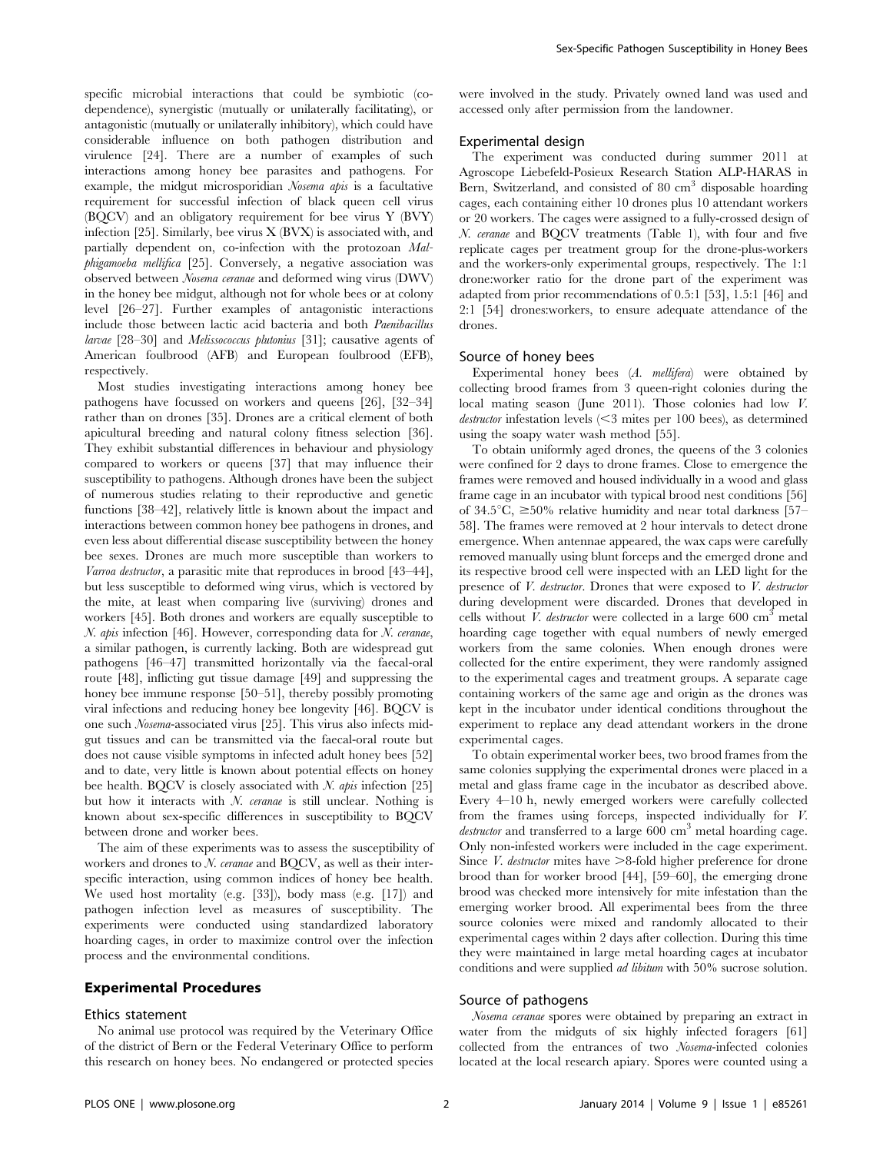specific microbial interactions that could be symbiotic (codependence), synergistic (mutually or unilaterally facilitating), or antagonistic (mutually or unilaterally inhibitory), which could have considerable influence on both pathogen distribution and virulence [24]. There are a number of examples of such interactions among honey bee parasites and pathogens. For example, the midgut microsporidian Nosema apis is a facultative requirement for successful infection of black queen cell virus (BQCV) and an obligatory requirement for bee virus Y (BVY) infection [25]. Similarly, bee virus X (BVX) is associated with, and partially dependent on, co-infection with the protozoan Malphigamoeba mellifica [25]. Conversely, a negative association was observed between Nosema ceranae and deformed wing virus (DWV) in the honey bee midgut, although not for whole bees or at colony level [26–27]. Further examples of antagonistic interactions include those between lactic acid bacteria and both Paenibacillus larvae [28–30] and Melissococcus plutonius [31]; causative agents of American foulbrood (AFB) and European foulbrood (EFB), respectively.

Most studies investigating interactions among honey bee pathogens have focussed on workers and queens [26], [32–34] rather than on drones [35]. Drones are a critical element of both apicultural breeding and natural colony fitness selection [36]. They exhibit substantial differences in behaviour and physiology compared to workers or queens [37] that may influence their susceptibility to pathogens. Although drones have been the subject of numerous studies relating to their reproductive and genetic functions [38–42], relatively little is known about the impact and interactions between common honey bee pathogens in drones, and even less about differential disease susceptibility between the honey bee sexes. Drones are much more susceptible than workers to Varroa destructor, a parasitic mite that reproduces in brood [43–44], but less susceptible to deformed wing virus, which is vectored by the mite, at least when comparing live (surviving) drones and workers [45]. Both drones and workers are equally susceptible to N. apis infection [46]. However, corresponding data for N. ceranae, a similar pathogen, is currently lacking. Both are widespread gut pathogens [46–47] transmitted horizontally via the faecal-oral route [48], inflicting gut tissue damage [49] and suppressing the honey bee immune response [50–51], thereby possibly promoting viral infections and reducing honey bee longevity [46]. BQCV is one such Nosema-associated virus [25]. This virus also infects midgut tissues and can be transmitted via the faecal-oral route but does not cause visible symptoms in infected adult honey bees [52] and to date, very little is known about potential effects on honey bee health. BQCV is closely associated with  $N$ . apis infection [25] but how it interacts with  $N$ . *ceranae* is still unclear. Nothing is known about sex-specific differences in susceptibility to BQCV between drone and worker bees.

The aim of these experiments was to assess the susceptibility of workers and drones to N. ceranae and BQCV, as well as their interspecific interaction, using common indices of honey bee health. We used host mortality (e.g. [33]), body mass (e.g. [17]) and pathogen infection level as measures of susceptibility. The experiments were conducted using standardized laboratory hoarding cages, in order to maximize control over the infection process and the environmental conditions.

# Experimental Procedures

#### Ethics statement

No animal use protocol was required by the Veterinary Office of the district of Bern or the Federal Veterinary Office to perform this research on honey bees. No endangered or protected species were involved in the study. Privately owned land was used and accessed only after permission from the landowner.

# Experimental design

The experiment was conducted during summer 2011 at Agroscope Liebefeld-Posieux Research Station ALP-HARAS in Bern, Switzerland, and consisted of 80  $\text{cm}^3$  disposable hoarding cages, each containing either 10 drones plus 10 attendant workers or 20 workers. The cages were assigned to a fully-crossed design of N. ceranae and BQCV treatments (Table 1), with four and five replicate cages per treatment group for the drone-plus-workers and the workers-only experimental groups, respectively. The 1:1 drone:worker ratio for the drone part of the experiment was adapted from prior recommendations of 0.5:1 [53], 1.5:1 [46] and 2:1 [54] drones:workers, to ensure adequate attendance of the drones.

# Source of honey bees

Experimental honey bees (A. mellifera) were obtained by collecting brood frames from 3 queen-right colonies during the local mating season (June 2011). Those colonies had low V. destructor infestation levels  $\leq$ 3 mites per 100 bees), as determined using the soapy water wash method [55].

To obtain uniformly aged drones, the queens of the 3 colonies were confined for 2 days to drone frames. Close to emergence the frames were removed and housed individually in a wood and glass frame cage in an incubator with typical brood nest conditions [56] of 34.5 $^{\circ}$ C,  $\geq$ 50% relative humidity and near total darkness [57– 58]. The frames were removed at 2 hour intervals to detect drone emergence. When antennae appeared, the wax caps were carefully removed manually using blunt forceps and the emerged drone and its respective brood cell were inspected with an LED light for the presence of *V. destructor*. Drones that were exposed to *V. destructor* during development were discarded. Drones that developed in cells without *V. destructor* were collected in a large  $600 \text{ cm}^3$  metal hoarding cage together with equal numbers of newly emerged workers from the same colonies. When enough drones were collected for the entire experiment, they were randomly assigned to the experimental cages and treatment groups. A separate cage containing workers of the same age and origin as the drones was kept in the incubator under identical conditions throughout the experiment to replace any dead attendant workers in the drone experimental cages.

To obtain experimental worker bees, two brood frames from the same colonies supplying the experimental drones were placed in a metal and glass frame cage in the incubator as described above. Every 4–10 h, newly emerged workers were carefully collected from the frames using forceps, inspected individually for V. *destructor* and transferred to a large  $600 \text{ cm}^3$  metal hoarding cage. Only non-infested workers were included in the cage experiment. Since *V. destructor* mites have  $\geq$ 8-fold higher preference for drone brood than for worker brood [44], [59–60], the emerging drone brood was checked more intensively for mite infestation than the emerging worker brood. All experimental bees from the three source colonies were mixed and randomly allocated to their experimental cages within 2 days after collection. During this time they were maintained in large metal hoarding cages at incubator conditions and were supplied ad libitum with 50% sucrose solution.

# Source of pathogens

Nosema ceranae spores were obtained by preparing an extract in water from the midguts of six highly infected foragers [61] collected from the entrances of two Nosema-infected colonies located at the local research apiary. Spores were counted using a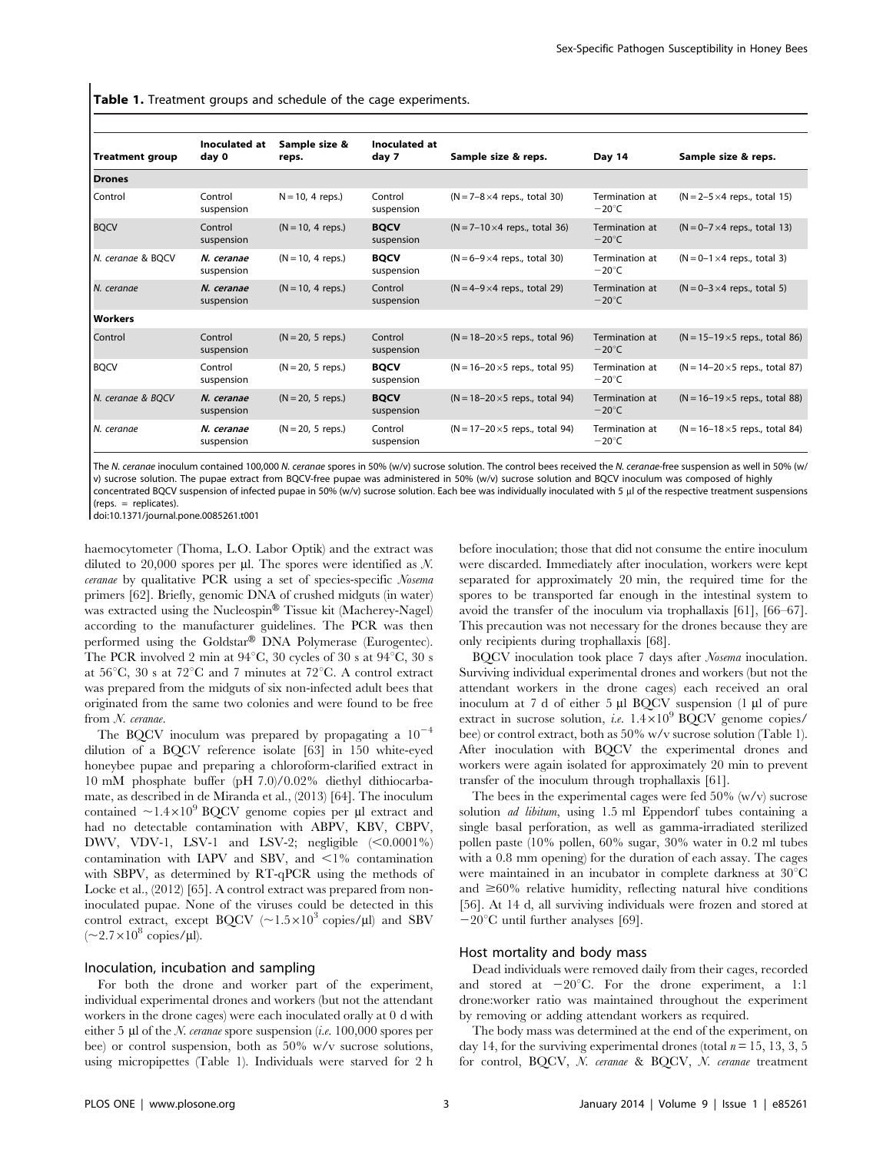Table 1. Treatment groups and schedule of the cage experiments.

| Treatment group   | Inoculated at<br>day 0   | Sample size &<br>reps. | Inoculated at<br>day 7    | Sample size & reps.                      | Day 14                            | Sample size & reps.                      |
|-------------------|--------------------------|------------------------|---------------------------|------------------------------------------|-----------------------------------|------------------------------------------|
| <b>Drones</b>     |                          |                        |                           |                                          |                                   |                                          |
| Control           | Control<br>suspension    | $N = 10, 4$ reps.)     | Control<br>suspension     | $(N = 7-8 \times 4$ reps., total 30)     | Termination at<br>$-20^{\circ}$ C | $(N = 2-5 \times 4$ reps., total 15)     |
| <b>BQCV</b>       | Control<br>suspension    | $(N = 10, 4$ reps.)    | <b>BOCV</b><br>suspension | $(N = 7 - 10 \times 4$ reps., total 36)  | Termination at<br>$-20^{\circ}$ C | $(N = 0-7 \times 4$ reps., total 13)     |
| N. ceranae & BQCV | N. ceranae<br>suspension | $(N = 10, 4$ reps.)    | <b>BQCV</b><br>suspension | $(N=6-9\times4$ reps., total 30)         | Termination at<br>$-20^{\circ}$ C | $(N = 0-1 \times 4$ reps., total 3)      |
| N. ceranae        | N. ceranae<br>suspension | $(N = 10, 4$ reps.)    | Control<br>suspension     | $(N=4-9\times4$ reps., total 29)         | Termination at<br>$-20^{\circ}$ C | $(N = 0-3 \times 4$ reps., total 5)      |
| l Workers         |                          |                        |                           |                                          |                                   |                                          |
| Control           | Control<br>suspension    | $(N = 20, 5$ reps.)    | Control<br>suspension     | $(N = 18 - 20 \times 5$ reps., total 96) | Termination at<br>$-20^{\circ}$ C | $(N = 15 - 19 \times 5$ reps., total 86) |
| <b>BQCV</b>       | Control<br>suspension    | $(N = 20, 5$ reps.)    | <b>BQCV</b><br>suspension | $(N = 16 - 20 \times 5$ reps., total 95) | Termination at<br>$-20^{\circ}$ C | $(N = 14 - 20 \times 5$ reps., total 87) |
| N. ceranae & BQCV | N. ceranae<br>suspension | $(N = 20, 5$ reps.)    | <b>BOCV</b><br>suspension | $(N = 18 - 20 \times 5$ reps., total 94) | Termination at<br>$-20^{\circ}$ C | $(N = 16 - 19 \times 5$ reps., total 88) |
| N. ceranae        | N. ceranae<br>suspension | $(N = 20, 5$ reps.)    | Control<br>suspension     | $(N = 17 - 20 \times 5$ reps., total 94) | Termination at<br>$-20^{\circ}$ C | $(N = 16 - 18 \times 5$ reps., total 84) |

The N. ceranae inoculum contained 100,000 N. ceranae spores in 50% (w/v) sucrose solution. The control bees received the N. ceranae-free suspension as well in 50% (w/ v) sucrose solution. The pupae extract from BQCV-free pupae was administered in 50% (w/v) sucrose solution and BQCV inoculum was composed of highly concentrated BQCV suspension of infected pupae in 50% (w/v) sucrose solution. Each bee was individually inoculated with 5 ul of the respective treatment suspensions (reps. = replicates).

doi:10.1371/journal.pone.0085261.t001

haemocytometer (Thoma, L.O. Labor Optik) and the extract was diluted to 20,000 spores per  $\mu$ l. The spores were identified as N. ceranae by qualitative PCR using a set of species-specific Nosema primers [62]. Briefly, genomic DNA of crushed midguts (in water) was extracted using the Nucleospin® Tissue kit (Macherey-Nagel) according to the manufacturer guidelines. The PCR was then performed using the Goldstar $\mathcal{B}$  DNA Polymerase (Eurogentec). The PCR involved 2 min at  $94^{\circ}$ C, 30 cycles of 30 s at  $94^{\circ}$ C, 30 s at  $56^{\circ}$ C, 30 s at  $72^{\circ}$ C and 7 minutes at  $72^{\circ}$ C. A control extract was prepared from the midguts of six non-infected adult bees that originated from the same two colonies and were found to be free from N. ceranae.

The BQCV inoculum was prepared by propagating a  $10^{-4}$ dilution of a BQCV reference isolate [63] in 150 white-eyed honeybee pupae and preparing a chloroform-clarified extract in 10 mM phosphate buffer (pH 7.0)/0.02% diethyl dithiocarbamate, as described in de Miranda et al., (2013) [64]. The inoculum contained  $\sim$ 1.4×10<sup>9</sup> BQCV genome copies per µl extract and had no detectable contamination with ABPV, KBV, CBPV, DWV, VDV-1, LSV-1 and LSV-2; negligible  $(\leq 0.0001\%)$ contamination with IAPV and SBV, and  $\leq$ 1% contamination with SBPV, as determined by RT-qPCR using the methods of Locke et al., (2012) [65]. A control extract was prepared from noninoculated pupae. None of the viruses could be detected in this control extract, except BQCV ( $\sim$ 1.5×10<sup>3</sup> copies/µl) and SBV  $(-2.7\times10^8 \text{ copies/}\mu\text{L}).$ 

# Inoculation, incubation and sampling

For both the drone and worker part of the experiment, individual experimental drones and workers (but not the attendant workers in the drone cages) were each inoculated orally at 0 d with either 5  $\mu$ l of the *N. ceranae* spore suspension (*i.e.* 100,000 spores per bee) or control suspension, both as 50% w/v sucrose solutions, using micropipettes (Table 1). Individuals were starved for 2 h before inoculation; those that did not consume the entire inoculum were discarded. Immediately after inoculation, workers were kept separated for approximately 20 min, the required time for the spores to be transported far enough in the intestinal system to avoid the transfer of the inoculum via trophallaxis [61], [66–67]. This precaution was not necessary for the drones because they are only recipients during trophallaxis [68].

BQCV inoculation took place 7 days after Nosema inoculation. Surviving individual experimental drones and workers (but not the attendant workers in the drone cages) each received an oral inoculum at 7 d of either 5  $\mu$ l BQCV suspension (1  $\mu$ l of pure extract in sucrose solution, *i.e.*  $1.4 \times 10^9$  BQCV genome copies/ bee) or control extract, both as 50% w/v sucrose solution (Table 1). After inoculation with BQCV the experimental drones and workers were again isolated for approximately 20 min to prevent transfer of the inoculum through trophallaxis [61].

The bees in the experimental cages were fed  $50\%$  (w/v) sucrose solution *ad libitum*, using 1.5 ml Eppendorf tubes containing a single basal perforation, as well as gamma-irradiated sterilized pollen paste (10% pollen, 60% sugar, 30% water in 0.2 ml tubes with a 0.8 mm opening) for the duration of each assay. The cages were maintained in an incubator in complete darkness at  $30^{\circ}$ C and  $\geq 60\%$  relative humidity, reflecting natural hive conditions [56]. At 14 d, all surviving individuals were frozen and stored at  $-20^{\circ}$ C until further analyses [69].

# Host mortality and body mass

Dead individuals were removed daily from their cages, recorded and stored at  $-20^{\circ}$ C. For the drone experiment, a 1:1 drone:worker ratio was maintained throughout the experiment by removing or adding attendant workers as required.

The body mass was determined at the end of the experiment, on day 14, for the surviving experimental drones (total  $n = 15, 13, 3, 5$ for control, BQCV, N. ceranae & BQCV, N. ceranae treatment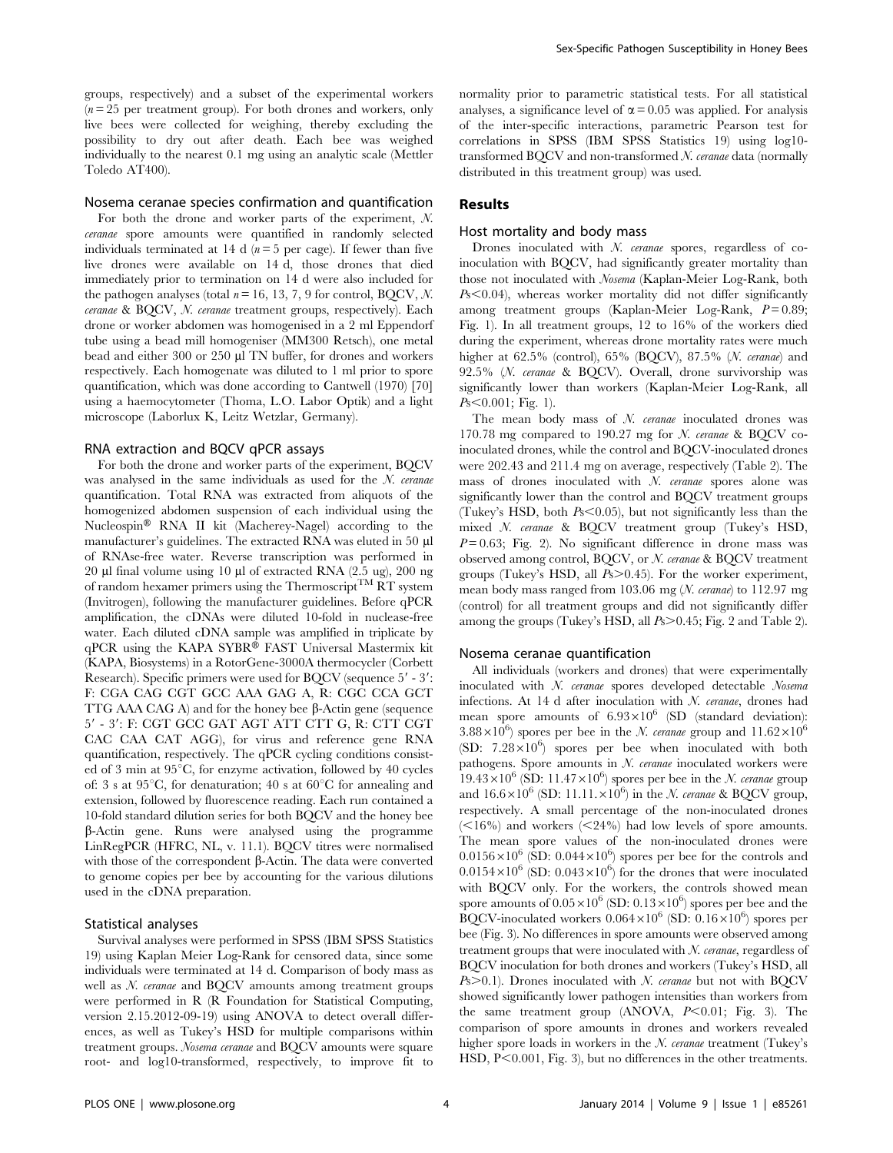groups, respectively) and a subset of the experimental workers  $(n=25$  per treatment group). For both drones and workers, only live bees were collected for weighing, thereby excluding the possibility to dry out after death. Each bee was weighed individually to the nearest 0.1 mg using an analytic scale (Mettler Toledo AT400).

#### Nosema ceranae species confirmation and quantification

For both the drone and worker parts of the experiment, N. ceranae spore amounts were quantified in randomly selected individuals terminated at 14 d ( $n = 5$  per cage). If fewer than five live drones were available on 14 d, those drones that died immediately prior to termination on 14 d were also included for the pathogen analyses (total  $n = 16, 13, 7, 9$  for control, BQCV, N. ceranae & BQCV, N. ceranae treatment groups, respectively). Each drone or worker abdomen was homogenised in a 2 ml Eppendorf tube using a bead mill homogeniser (MM300 Retsch), one metal bead and either 300 or 250 µl TN buffer, for drones and workers respectively. Each homogenate was diluted to 1 ml prior to spore quantification, which was done according to Cantwell (1970) [70] using a haemocytometer (Thoma, L.O. Labor Optik) and a light microscope (Laborlux K, Leitz Wetzlar, Germany).

#### RNA extraction and BQCV qPCR assays

For both the drone and worker parts of the experiment, BQCV was analysed in the same individuals as used for the N. ceranae quantification. Total RNA was extracted from aliquots of the homogenized abdomen suspension of each individual using the Nucleospin<sup>®</sup> RNA II kit (Macherey-Nagel) according to the manufacturer's guidelines. The extracted RNA was eluted in 50 µl of RNAse-free water. Reverse transcription was performed in 20  $\mu$ l final volume using 10  $\mu$ l of extracted RNA (2.5 ug), 200 ng of random hexamer primers using the Thermoscript<sup>TM</sup>  $\widetilde{RT}$  system (Invitrogen), following the manufacturer guidelines. Before qPCR amplification, the cDNAs were diluted 10-fold in nuclease-free water. Each diluted cDNA sample was amplified in triplicate by  $qPCR$  using the KAPA SYBR® FAST Universal Mastermix kit (KAPA, Biosystems) in a RotorGene-3000A thermocycler (Corbett Research). Specific primers were used for BQCV (sequence  $5'$  -  $3'$ : F: CGA CAG CGT GCC AAA GAG A, R: CGC CCA GCT  $TTG$  AAA CAG A) and for the honey bee  $\beta$ -Actin gene (sequence  $5'$  -  $3'$  :  $F:$  CGT GCC GAT AGT ATT CTT  $G, R:$  CTT CGT CAC CAA CAT AGG), for virus and reference gene RNA quantification, respectively. The qPCR cycling conditions consisted of 3 min at  $95^{\circ}$ C, for enzyme activation, followed by 40 cycles of: 3 s at  $95^{\circ}$ C, for denaturation; 40 s at  $60^{\circ}$ C for annealing and extension, followed by fluorescence reading. Each run contained a 10-fold standard dilution series for both BQCV and the honey bee b-Actin gene. Runs were analysed using the programme LinRegPCR (HFRC, NL, v. 11.1). BQCV titres were normalised with those of the correspondent  $\beta$ -Actin. The data were converted to genome copies per bee by accounting for the various dilutions used in the cDNA preparation.

# Statistical analyses

Survival analyses were performed in SPSS (IBM SPSS Statistics 19) using Kaplan Meier Log-Rank for censored data, since some individuals were terminated at 14 d. Comparison of body mass as well as N. ceranae and BQCV amounts among treatment groups were performed in R (R Foundation for Statistical Computing, version 2.15.2012-09-19) using ANOVA to detect overall differences, as well as Tukey's HSD for multiple comparisons within treatment groups. Nosema ceranae and BQCV amounts were square root- and log10-transformed, respectively, to improve fit to normality prior to parametric statistical tests. For all statistical analyses, a significance level of  $\alpha = 0.05$  was applied. For analysis of the inter-specific interactions, parametric Pearson test for correlations in SPSS (IBM SPSS Statistics 19) using log10 transformed BQCV and non-transformed N. ceranae data (normally distributed in this treatment group) was used.

# Results

# Host mortality and body mass

Drones inoculated with N. *ceranae* spores, regardless of coinoculation with BQCV, had significantly greater mortality than those not inoculated with Nosema (Kaplan-Meier Log-Rank, both  $P<sub>5</sub>< 0.04$ ), whereas worker mortality did not differ significantly among treatment groups (Kaplan-Meier Log-Rank,  $P = 0.89$ ; Fig. 1). In all treatment groups, 12 to 16% of the workers died during the experiment, whereas drone mortality rates were much higher at 62.5% (control), 65% (BQCV), 87.5% (N. ceranae) and 92.5% (N. ceranae & BQCV). Overall, drone survivorship was significantly lower than workers (Kaplan-Meier Log-Rank, all  $P<sub>5</sub>< 0.001$ ; Fig. 1).

The mean body mass of N. *ceranae* inoculated drones was 170.78 mg compared to 190.27 mg for N. ceranae & BOCV coinoculated drones, while the control and BQCV-inoculated drones were 202.43 and 211.4 mg on average, respectively (Table 2). The mass of drones inoculated with N. ceranae spores alone was significantly lower than the control and BQCV treatment groups (Tukey's HSD, both  $P_s \le 0.05$ ), but not significantly less than the mixed N. ceranae & BQCV treatment group (Tukey's HSD,  $P = 0.63$ ; Fig. 2). No significant difference in drone mass was observed among control, BQCV, or N. ceranae & BQCV treatment groups (Tukey's HSD, all  $Ps > 0.45$ ). For the worker experiment, mean body mass ranged from 103.06 mg (N. ceranae) to 112.97 mg (control) for all treatment groups and did not significantly differ among the groups (Tukey's HSD, all  $P_s$  $> 0.45$ ; Fig. 2 and Table 2).

#### Nosema ceranae quantification

All individuals (workers and drones) that were experimentally inoculated with N. ceranae spores developed detectable Nosema infections. At 14 d after inoculation with  $N$ . ceranae, drones had mean spore amounts of  $6.93 \times 10^6$  (SD (standard deviation):  $3.88 \times 10^6$ ) spores per bee in the N. ceranae group and  $11.62 \times 10^6$ (SD:  $7.28 \times 10^6$ ) spores per bee when inoculated with both pathogens. Spore amounts in N. ceranae inoculated workers were  $19.43 \times 10^6$  (SD: 11.47×10<sup>6</sup>) spores per bee in the *N. ceranae* group and  $16.6\times10^6$  (SD: 11.11. $\times10^6$ ) in the *N. ceranae* & BQCV group, respectively. A small percentage of the non-inoculated drones  $\left($  <16%) and workers  $\left($  <24%) had low levels of spore amounts. The mean spore values of the non-inoculated drones were  $0.0156\times10^6$  (SD: 0.044×10<sup>6</sup>) spores per bee for the controls and  $0.0154 \times 10^6$  (SD:  $0.043 \times 10^6$ ) for the drones that were inoculated with BQCV only. For the workers, the controls showed mean spore amounts of  $0.05 \times 10^6$  (SD:  $0.13 \times 10^6$ ) spores per bee and the BQCV-inoculated workers  $0.064\times10^6$  (SD:  $0.16\times10^6$ ) spores per bee (Fig. 3). No differences in spore amounts were observed among treatment groups that were inoculated with N. ceranae, regardless of BQCV inoculation for both drones and workers (Tukey's HSD, all  $P_s > 0.1$ ). Drones inoculated with N. ceranae but not with BOCV showed significantly lower pathogen intensities than workers from the same treatment group (ANOVA,  $P<0.01$ ; Fig. 3). The comparison of spore amounts in drones and workers revealed higher spore loads in workers in the N. ceranae treatment (Tukey's HSD,  $P<0.001$ , Fig. 3), but no differences in the other treatments.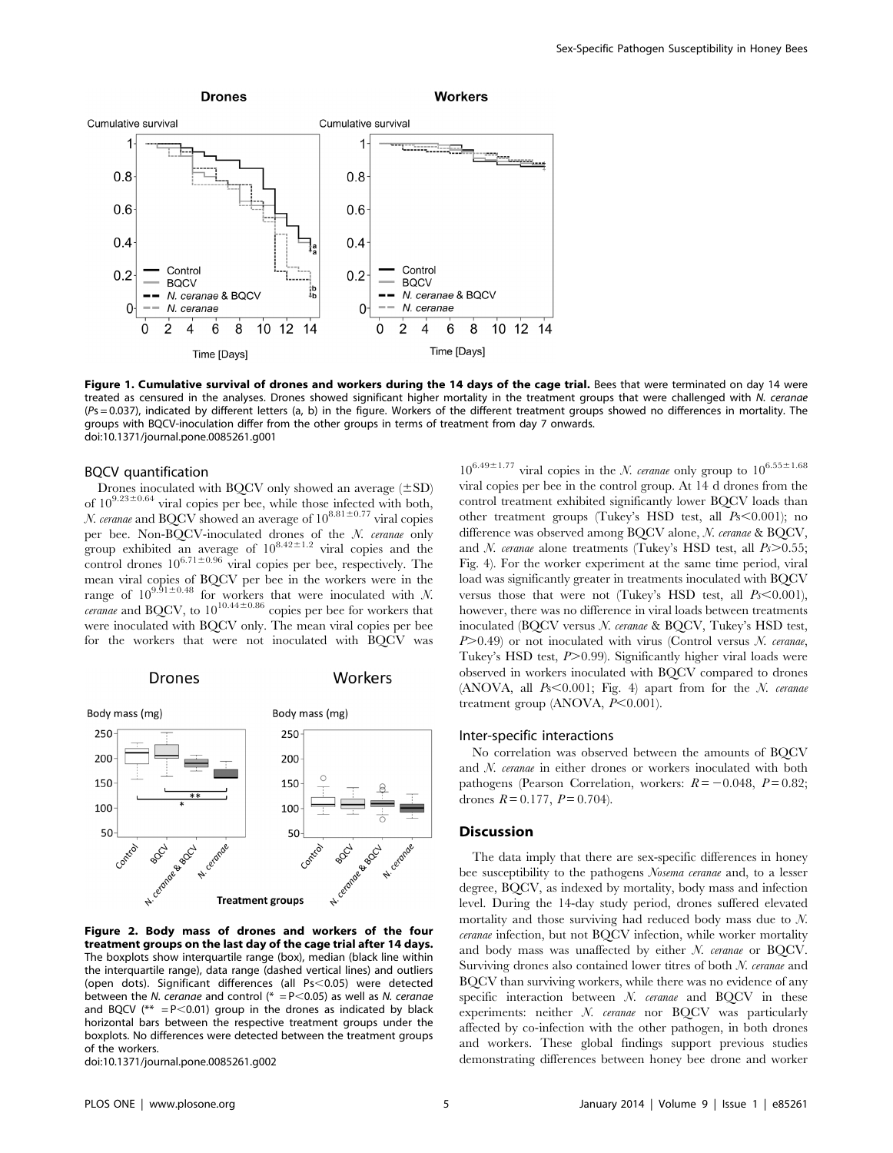# **Workers**



Figure 1. Cumulative survival of drones and workers during the 14 days of the cage trial. Bees that were terminated on day 14 were treated as censured in the analyses. Drones showed significant higher mortality in the treatment groups that were challenged with N. ceranae  $(P<sub>S</sub>=0.037)$ , indicated by different letters (a, b) in the figure. Workers of the different treatment groups showed no differences in mortality. The groups with BQCV-inoculation differ from the other groups in terms of treatment from day 7 onwards. doi:10.1371/journal.pone.0085261.g001

#### BQCV quantification

Drones inoculated with BOCV only showed an average  $(\pm SD)$ of  $10^{9.23 \pm 0.64}$  viral copies per bee, while those infected with both, *N. ceranae* and BQCV showed an average of  $10^{8.81 \pm 0.77}$  viral copies per bee. Non-BQCV-inoculated drones of the N. ceranae only group exhibited an average of  $10^{8.42 \pm 1.2}$  viral copies and the control drones  $10^{6.71 \pm 0.96}$  viral copies per bee, respectively. The mean viral copies of BQCV per bee in the workers were in the range of  $10^{9.91 \pm 0.48}$  for workers that were inoculated with N. *ceranae* and BQCV, to  $10^{10.44 \pm 0.86}$  copies per bee for workers that were inoculated with BQCV only. The mean viral copies per bee for the workers that were not inoculated with BQCV was



Figure 2. Body mass of drones and workers of the four treatment groups on the last day of the cage trial after 14 days. The boxplots show interquartile range (box), median (black line within the interquartile range), data range (dashed vertical lines) and outliers (open dots). Significant differences (all Ps<0.05) were detected between the N. ceranae and control (\* =  $P$  < 0.05) as well as N. ceranae and BQCV ( $**$  = P<0.01) group in the drones as indicated by black horizontal bars between the respective treatment groups under the boxplots. No differences were detected between the treatment groups of the workers.

doi:10.1371/journal.pone.0085261.g002

 $10^{6.49 \pm 1.77}$  viral copies in the N. ceranae only group to  $10^{6.55 \pm 1.68}$ viral copies per bee in the control group. At 14 d drones from the control treatment exhibited significantly lower BQCV loads than other treatment groups (Tukey's HSD test, all  $P_s$ <0.001); no difference was observed among BQCV alone, N. ceranae & BQCV, and N. ceranae alone treatments (Tukey's HSD test, all  $Ps$  > 0.55; Fig. 4). For the worker experiment at the same time period, viral load was significantly greater in treatments inoculated with BQCV versus those that were not (Tukey's HSD test, all  $Ps<0.001$ ), however, there was no difference in viral loads between treatments inoculated (BQCV versus N. ceranae & BQCV, Tukey's HSD test,  $P>0.49$  or not inoculated with virus (Control versus N. ceranae, Tukey's HSD test,  $P > 0.99$ ). Significantly higher viral loads were observed in workers inoculated with BQCV compared to drones (ANOVA, all  $P_s \le 0.001$ ; Fig. 4) apart from for the N. ceranae treatment group (ANOVA,  $P<0.001$ ).

#### Inter-specific interactions

No correlation was observed between the amounts of BQCV and N. ceranae in either drones or workers inoculated with both pathogens (Pearson Correlation, workers:  $R = -0.048$ ,  $P = 0.82$ ; drones  $R = 0.177$ ,  $P = 0.704$ .

# **Discussion**

The data imply that there are sex-specific differences in honey bee susceptibility to the pathogens Nosema ceranae and, to a lesser degree, BQCV, as indexed by mortality, body mass and infection level. During the 14-day study period, drones suffered elevated mortality and those surviving had reduced body mass due to N. ceranae infection, but not BQCV infection, while worker mortality and body mass was unaffected by either N. ceranae or BQCV. Surviving drones also contained lower titres of both N. ceranae and BQCV than surviving workers, while there was no evidence of any specific interaction between N. ceranae and BQCV in these experiments: neither N. ceranae nor BQCV was particularly affected by co-infection with the other pathogen, in both drones and workers. These global findings support previous studies demonstrating differences between honey bee drone and worker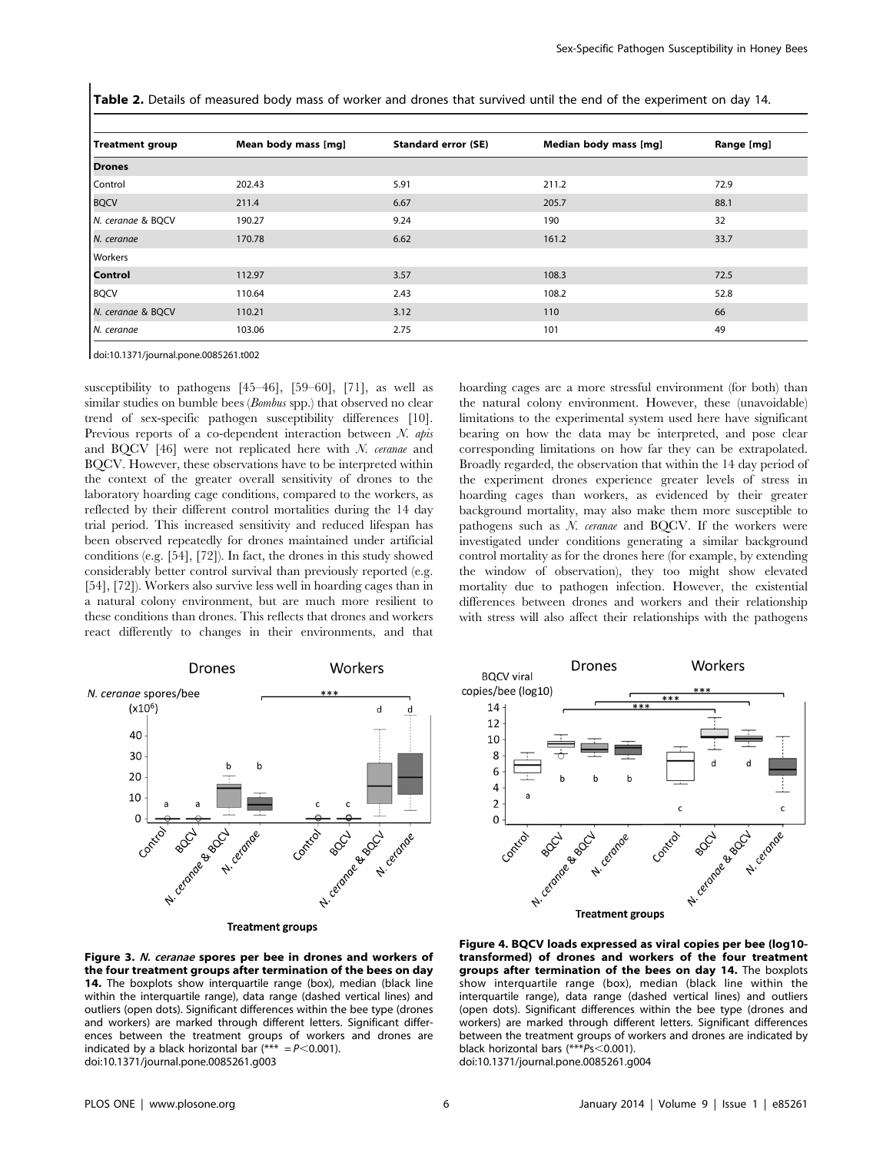Table 2. Details of measured body mass of worker and drones that survived until the end of the experiment on day 14.

| Treatment group   | Mean body mass [mg] | <b>Standard error (SE)</b> | Median body mass [mg] | Range [mg] |
|-------------------|---------------------|----------------------------|-----------------------|------------|
| <b>Drones</b>     |                     |                            |                       |            |
| Control           | 202.43              | 5.91                       | 211.2                 | 72.9       |
| <b>BQCV</b>       | 211.4               | 6.67                       | 205.7                 | 88.1       |
| N. ceranae & BQCV | 190.27              | 9.24                       | 190                   | 32         |
| N. ceranae        | 170.78              | 6.62                       | 161.2                 | 33.7       |
| <b>Workers</b>    |                     |                            |                       |            |
| <b>Control</b>    | 112.97              | 3.57                       | 108.3                 | 72.5       |
| <b>BQCV</b>       | 110.64              | 2.43                       | 108.2                 | 52.8       |
| N. ceranae & BQCV | 110.21              | 3.12                       | 110                   | 66         |
| N. ceranae        | 103.06              | 2.75                       | 101                   | 49         |

doi:10.1371/journal.pone.0085261.t002

susceptibility to pathogens [45–46], [59–60], [71], as well as similar studies on bumble bees (*Bombus* spp.) that observed no clear trend of sex-specific pathogen susceptibility differences [10]. Previous reports of a co-dependent interaction between N. apis and BQCV [46] were not replicated here with N. ceranae and BQCV. However, these observations have to be interpreted within the context of the greater overall sensitivity of drones to the laboratory hoarding cage conditions, compared to the workers, as reflected by their different control mortalities during the 14 day trial period. This increased sensitivity and reduced lifespan has been observed repeatedly for drones maintained under artificial conditions (e.g. [54], [72]). In fact, the drones in this study showed considerably better control survival than previously reported (e.g. [54], [72]). Workers also survive less well in hoarding cages than in a natural colony environment, but are much more resilient to these conditions than drones. This reflects that drones and workers react differently to changes in their environments, and that hoarding cages are a more stressful environment (for both) than the natural colony environment. However, these (unavoidable) limitations to the experimental system used here have significant bearing on how the data may be interpreted, and pose clear corresponding limitations on how far they can be extrapolated. Broadly regarded, the observation that within the 14 day period of the experiment drones experience greater levels of stress in hoarding cages than workers, as evidenced by their greater background mortality, may also make them more susceptible to pathogens such as  $N$ . ceranae and BQCV. If the workers were investigated under conditions generating a similar background control mortality as for the drones here (for example, by extending the window of observation), they too might show elevated mortality due to pathogen infection. However, the existential differences between drones and workers and their relationship with stress will also affect their relationships with the pathogens



**Treatment groups** 

Figure 3. N. ceranae spores per bee in drones and workers of the four treatment groups after termination of the bees on day 14. The boxplots show interquartile range (box), median (black line within the interquartile range), data range (dashed vertical lines) and outliers (open dots). Significant differences within the bee type (drones and workers) are marked through different letters. Significant differences between the treatment groups of workers and drones are indicated by a black horizontal bar (\*\*\* =  $P$  < 0.001). doi:10.1371/journal.pone.0085261.g003



Figure 4. BQCV loads expressed as viral copies per bee (log10 transformed) of drones and workers of the four treatment groups after termination of the bees on day 14. The boxplots show interquartile range (box), median (black line within the interquartile range), data range (dashed vertical lines) and outliers (open dots). Significant differences within the bee type (drones and workers) are marked through different letters. Significant differences between the treatment groups of workers and drones are indicated by black horizontal bars  $(***Ps<0.001)$ .

doi:10.1371/journal.pone.0085261.g004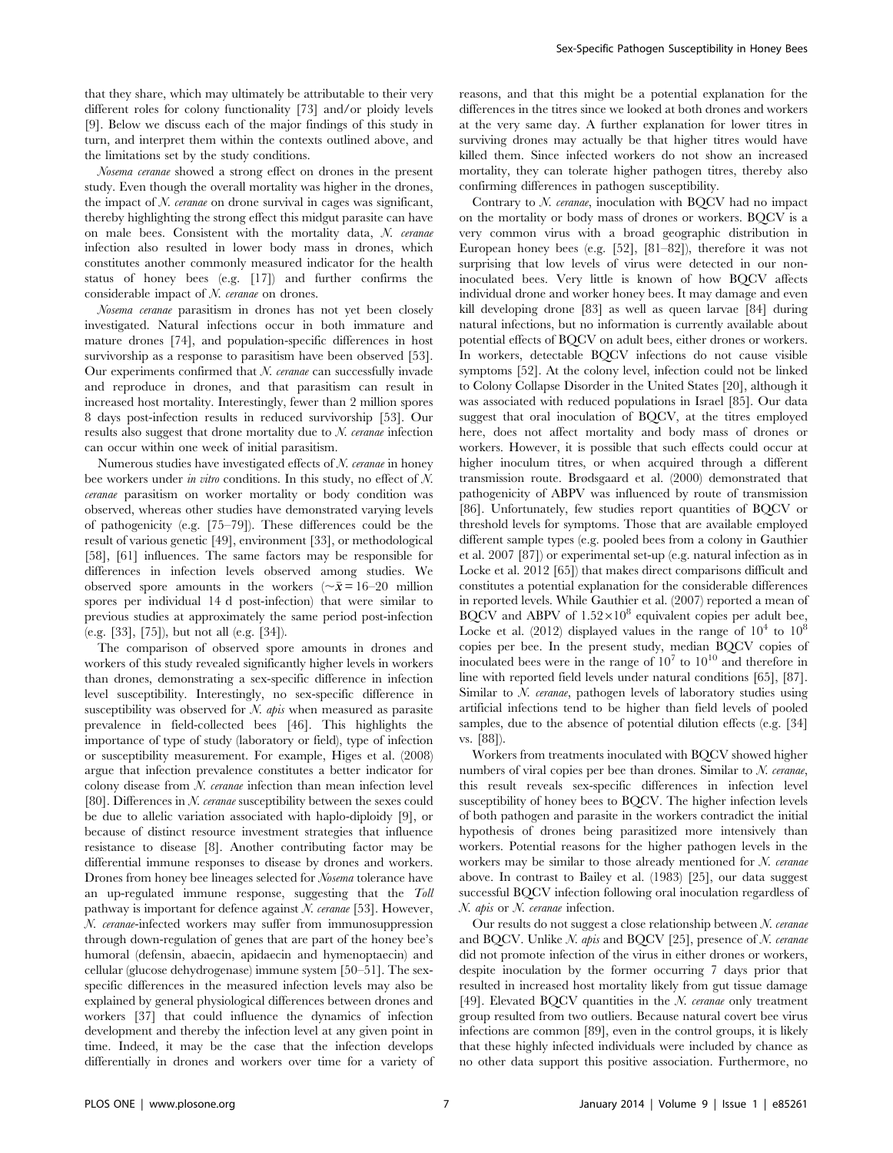that they share, which may ultimately be attributable to their very different roles for colony functionality [73] and/or ploidy levels [9]. Below we discuss each of the major findings of this study in turn, and interpret them within the contexts outlined above, and the limitations set by the study conditions.

Nosema ceranae showed a strong effect on drones in the present study. Even though the overall mortality was higher in the drones, the impact of  $N$ , *ceranae* on drone survival in cages was significant, thereby highlighting the strong effect this midgut parasite can have on male bees. Consistent with the mortality data, N. ceranae infection also resulted in lower body mass in drones, which constitutes another commonly measured indicator for the health status of honey bees (e.g. [17]) and further confirms the considerable impact of N. ceranae on drones.

Nosema ceranae parasitism in drones has not yet been closely investigated. Natural infections occur in both immature and mature drones [74], and population-specific differences in host survivorship as a response to parasitism have been observed [53]. Our experiments confirmed that  $N$ . *ceranae* can successfully invade and reproduce in drones, and that parasitism can result in increased host mortality. Interestingly, fewer than 2 million spores 8 days post-infection results in reduced survivorship [53]. Our results also suggest that drone mortality due to  $N$ . *ceranae* infection can occur within one week of initial parasitism.

Numerous studies have investigated effects of N. ceranae in honey bee workers under *in vitro* conditions. In this study, no effect of N. ceranae parasitism on worker mortality or body condition was observed, whereas other studies have demonstrated varying levels of pathogenicity (e.g. [75–79]). These differences could be the result of various genetic [49], environment [33], or methodological [58], [61] influences. The same factors may be responsible for differences in infection levels observed among studies. We observed spore amounts in the workers  $(\sim \bar{x} = 16-20$  million spores per individual 14 d post-infection) that were similar to previous studies at approximately the same period post-infection (e.g. [33], [75]), but not all (e.g. [34]).

The comparison of observed spore amounts in drones and workers of this study revealed significantly higher levels in workers than drones, demonstrating a sex-specific difference in infection level susceptibility. Interestingly, no sex-specific difference in susceptibility was observed for  $N$ . apis when measured as parasite prevalence in field-collected bees [46]. This highlights the importance of type of study (laboratory or field), type of infection or susceptibility measurement. For example, Higes et al. (2008) argue that infection prevalence constitutes a better indicator for colony disease from N. ceranae infection than mean infection level [80]. Differences in N. ceranae susceptibility between the sexes could be due to allelic variation associated with haplo-diploidy [9], or because of distinct resource investment strategies that influence resistance to disease [8]. Another contributing factor may be differential immune responses to disease by drones and workers. Drones from honey bee lineages selected for Nosema tolerance have an up-regulated immune response, suggesting that the Toll pathway is important for defence against N. ceranae [53]. However, N. ceranae-infected workers may suffer from immunosuppression through down-regulation of genes that are part of the honey bee's humoral (defensin, abaecin, apidaecin and hymenoptaecin) and cellular (glucose dehydrogenase) immune system [50–51]. The sexspecific differences in the measured infection levels may also be explained by general physiological differences between drones and workers [37] that could influence the dynamics of infection development and thereby the infection level at any given point in time. Indeed, it may be the case that the infection develops differentially in drones and workers over time for a variety of reasons, and that this might be a potential explanation for the differences in the titres since we looked at both drones and workers at the very same day. A further explanation for lower titres in surviving drones may actually be that higher titres would have killed them. Since infected workers do not show an increased mortality, they can tolerate higher pathogen titres, thereby also confirming differences in pathogen susceptibility.

Contrary to N. ceranae, inoculation with BQCV had no impact on the mortality or body mass of drones or workers. BQCV is a very common virus with a broad geographic distribution in European honey bees (e.g. [52], [81–82]), therefore it was not surprising that low levels of virus were detected in our noninoculated bees. Very little is known of how BQCV affects individual drone and worker honey bees. It may damage and even kill developing drone [83] as well as queen larvae [84] during natural infections, but no information is currently available about potential effects of BQCV on adult bees, either drones or workers. In workers, detectable BQCV infections do not cause visible symptoms [52]. At the colony level, infection could not be linked to Colony Collapse Disorder in the United States [20], although it was associated with reduced populations in Israel [85]. Our data suggest that oral inoculation of BQCV, at the titres employed here, does not affect mortality and body mass of drones or workers. However, it is possible that such effects could occur at higher inoculum titres, or when acquired through a different transmission route. Brødsgaard et al. (2000) demonstrated that pathogenicity of ABPV was influenced by route of transmission [86]. Unfortunately, few studies report quantities of BQCV or threshold levels for symptoms. Those that are available employed different sample types (e.g. pooled bees from a colony in Gauthier et al. 2007 [87]) or experimental set-up (e.g. natural infection as in Locke et al. 2012 [65]) that makes direct comparisons difficult and constitutes a potential explanation for the considerable differences in reported levels. While Gauthier et al. (2007) reported a mean of BQCV and ABPV of  $1.52\times10^8$  equivalent copies per adult bee, Locke et al. (2012) displayed values in the range of  $10^4$  to  $10^8$ copies per bee. In the present study, median BQCV copies of inoculated bees were in the range of  $10^7$  to  $10^{10}$  and therefore in line with reported field levels under natural conditions [65], [87]. Similar to N. ceranae, pathogen levels of laboratory studies using artificial infections tend to be higher than field levels of pooled samples, due to the absence of potential dilution effects (e.g. [34] vs. [88]).

Workers from treatments inoculated with BQCV showed higher numbers of viral copies per bee than drones. Similar to N. ceranae, this result reveals sex-specific differences in infection level susceptibility of honey bees to BQCV. The higher infection levels of both pathogen and parasite in the workers contradict the initial hypothesis of drones being parasitized more intensively than workers. Potential reasons for the higher pathogen levels in the workers may be similar to those already mentioned for N. ceranae above. In contrast to Bailey et al. (1983) [25], our data suggest successful BQCV infection following oral inoculation regardless of N. apis or N. ceranae infection.

Our results do not suggest a close relationship between  $N$ . *ceranae* and BQCV. Unlike  $N$ . apis and BQCV [25], presence of  $N$ . ceranae did not promote infection of the virus in either drones or workers, despite inoculation by the former occurring 7 days prior that resulted in increased host mortality likely from gut tissue damage [49]. Elevated BQCV quantities in the N. ceranae only treatment group resulted from two outliers. Because natural covert bee virus infections are common [89], even in the control groups, it is likely that these highly infected individuals were included by chance as no other data support this positive association. Furthermore, no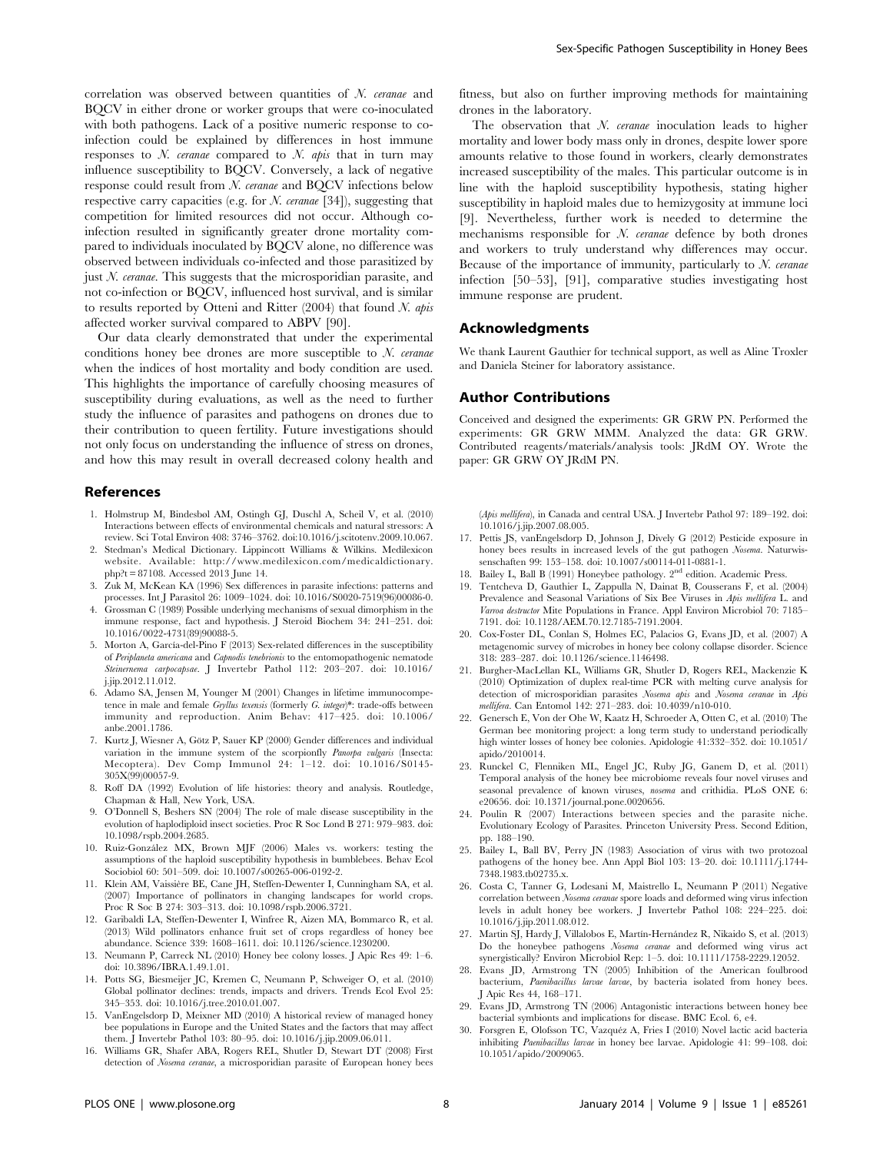correlation was observed between quantities of N. ceranae and BQCV in either drone or worker groups that were co-inoculated with both pathogens. Lack of a positive numeric response to coinfection could be explained by differences in host immune responses to  $N$ . *ceranae* compared to  $N$ . *apis* that in turn may influence susceptibility to BQCV. Conversely, a lack of negative response could result from N. ceranae and BQCV infections below respective carry capacities (e.g. for N. ceranae [34]), suggesting that competition for limited resources did not occur. Although coinfection resulted in significantly greater drone mortality compared to individuals inoculated by BQCV alone, no difference was observed between individuals co-infected and those parasitized by just  $N$ . *ceranae*. This suggests that the microsporidian parasite, and not co-infection or BQCV, influenced host survival, and is similar to results reported by Otteni and Ritter  $(2004)$  that found N. apis affected worker survival compared to ABPV [90].

Our data clearly demonstrated that under the experimental conditions honey bee drones are more susceptible to N. ceranae when the indices of host mortality and body condition are used. This highlights the importance of carefully choosing measures of susceptibility during evaluations, as well as the need to further study the influence of parasites and pathogens on drones due to their contribution to queen fertility. Future investigations should not only focus on understanding the influence of stress on drones, and how this may result in overall decreased colony health and

#### References

- 1. Holmstrup M, Bindesbøl AM, Ostingh GJ, Duschl A, Scheil V, et al. (2010) Interactions between effects of environmental chemicals and natural stressors: A review. Sci Total Environ 408: 3746–3762. doi:10.1016/j.scitotenv.2009.10.067.
- 2. Stedman's Medical Dictionary. Lippincott Williams & Wilkins. Medilexicon website. Available: http://www.medilexicon.com/medicaldictionary. php?t = 87108. Accessed 2013 June 14.
- 3. Zuk M, McKean KA (1996) Sex differences in parasite infections: patterns and processes. Int J Parasitol 26: 1009–1024. doi: 10.1016/S0020-7519(96)00086-0.
- 4. Grossman C (1989) Possible underlying mechanisms of sexual dimorphism in the immune response, fact and hypothesis. J Steroid Biochem 34: 241–251. doi: 10.1016/0022-4731(89)90088-5.
- 5. Morton A, García-del-Pino F (2013) Sex-related differences in the susceptibility of Periplaneta americana and Capnodis tenebrionis to the entomopathogenic nematode Steinernema carpocapsae. J Invertebr Pathol 112: 203–207. doi: 10.1016/ j.jip.2012.11.012.
- 6. Adamo SA, Jensen M, Younger M (2001) Changes in lifetime immunocompetence in male and female Gryllus texensis (formerly G. integer)\*: trade-offs between immunity and reproduction. Anim Behav: 417–425. doi: 10.1006/ anbe.2001.1786.
- 7. Kurtz J, Wiesner A, Götz P, Sauer KP (2000) Gender differences and individual variation in the immune system of the scorpionfly Panorpa vulgaris (Insecta: Mecoptera). Dev Comp Immunol 24: 1–12. doi: 10.1016/S0145- 305X(99)00057-9.
- 8. Roff DA (1992) Evolution of life histories: theory and analysis. Routledge, Chapman & Hall, New York, USA.
- 9. O'Donnell S, Beshers SN (2004) The role of male disease susceptibility in the evolution of haplodiploid insect societies. Proc R Soc Lond B 271: 979–983. doi: 10.1098/rspb.2004.2685.
- 10. Ruiz-González MX, Brown MJF (2006) Males vs. workers: testing the assumptions of the haploid susceptibility hypothesis in bumblebees. Behav Ecol Sociobiol 60: 501–509. doi: 10.1007/s00265-006-0192-2.
- 11. Klein AM, Vaissière BE, Cane JH, Steffen-Dewenter I, Cunningham SA, et al. (2007) Importance of pollinators in changing landscapes for world crops. Proc R Soc B 274: 303-313. doi: 10.1098/rspb.2006.3721.
- 12. Garibaldi LA, Steffen-Dewenter I, Winfree R, Aizen MA, Bommarco R, et al. (2013) Wild pollinators enhance fruit set of crops regardless of honey bee abundance. Science 339: 1608–1611. doi: 10.1126/science.1230200.
- 13. Neumann P, Carreck NL (2010) Honey bee colony losses. J Apic Res 49: 1–6. doi: 10.3896/IBRA.1.49.1.01.
- 14. Potts SG, Biesmeijer JC, Kremen C, Neumann P, Schweiger O, et al. (2010) Global pollinator declines: trends, impacts and drivers. Trends Ecol Evol 25: 345–353. doi: 10.1016/j.tree.2010.01.007.
- 15. VanEngelsdorp D, Meixner MD (2010) A historical review of managed honey bee populations in Europe and the United States and the factors that may affect them. J Invertebr Pathol 103: 80–95. doi: 10.1016/j.jip.2009.06.011.
- 16. Williams GR, Shafer ABA, Rogers REL, Shutler D, Stewart DT (2008) First detection of Nosema ceranae, a microsporidian parasite of European honey bees

fitness, but also on further improving methods for maintaining drones in the laboratory.

The observation that  $N$ . ceranae inoculation leads to higher mortality and lower body mass only in drones, despite lower spore amounts relative to those found in workers, clearly demonstrates increased susceptibility of the males. This particular outcome is in line with the haploid susceptibility hypothesis, stating higher susceptibility in haploid males due to hemizygosity at immune loci [9]. Nevertheless, further work is needed to determine the mechanisms responsible for N. ceranae defence by both drones and workers to truly understand why differences may occur. Because of the importance of immunity, particularly to  $N$ , ceranae infection [50–53], [91], comparative studies investigating host immune response are prudent.

#### Acknowledgments

We thank Laurent Gauthier for technical support, as well as Aline Troxler and Daniela Steiner for laboratory assistance.

#### Author Contributions

Conceived and designed the experiments: GR GRW PN. Performed the experiments: GR GRW MMM. Analyzed the data: GR GRW. Contributed reagents/materials/analysis tools: JRdM OY. Wrote the paper: GR GRW OY JRdM PN.

(Apis mellifera), in Canada and central USA. J Invertebr Pathol 97: 189–192. doi: 10.1016/j.jip.2007.08.005.

- 17. Pettis JS, vanEngelsdorp D, Johnson J, Dively G (2012) Pesticide exposure in honey bees results in increased levels of the gut pathogen Nosema. Naturwissenschaften 99: 153–158. doi: 10.1007/s00114-011-0881-1.
- 18. Bailey L, Ball B (1991) Honeybee pathology. 2nd edition. Academic Press.
- 19. Tentcheva D, Gauthier L, Zappulla N, Dainat B, Cousserans F, et al. (2004) Prevalence and Seasonal Variations of Six Bee Viruses in Apis mellifera L. and Varroa destructor Mite Populations in France. Appl Environ Microbiol 70: 7185– 7191. doi: 10.1128/AEM.70.12.7185-7191.2004.
- 20. Cox-Foster DL, Conlan S, Holmes EC, Palacios G, Evans JD, et al. (2007) A metagenomic survey of microbes in honey bee colony collapse disorder. Science 318: 283–287. doi: 10.1126/science.1146498.
- 21. Burgher-MacLellan KL, Williams GR, Shutler D, Rogers REL, Mackenzie K (2010) Optimization of duplex real-time PCR with melting curve analysis for detection of microsporidian parasites Nosema apis and Nosema ceranae in Apis mellifera. Can Entomol 142: 271–283. doi: 10.4039/n10-010.
- 22. Genersch E, Von der Ohe W, Kaatz H, Schroeder A, Otten C, et al. (2010) The German bee monitoring project: a long term study to understand periodically high winter losses of honey bee colonies. Apidologie 41:332–352. doi: 10.1051/ apido/2010014.
- 23. Runckel C, Flenniken ML, Engel JC, Ruby JG, Ganem D, et al. (2011) Temporal analysis of the honey bee microbiome reveals four novel viruses and seasonal prevalence of known viruses, nosema and crithidia. PLoS ONE 6: e20656. doi: 10.1371/journal.pone.0020656.
- 24. Poulin R (2007) Interactions between species and the parasite niche. Evolutionary Ecology of Parasites. Princeton University Press. Second Edition, pp. 188–190.
- 25. Bailey L, Ball BV, Perry JN (1983) Association of virus with two protozoal pathogens of the honey bee. Ann Appl Biol 103: 13–20. doi: 10.1111/j.1744- 7348.1983.tb02735.x.
- 26. Costa C, Tanner G, Lodesani M, Maistrello L, Neumann P (2011) Negative correlation between Nosema ceranae spore loads and deformed wing virus infection levels in adult honey bee workers. J Invertebr Pathol 108: 224–225. doi: 10.1016/j.jip.2011.08.012.
- 27. Martin SJ, Hardy J, Villalobos E, Martín-Hernández R, Nikaido S, et al. (2013) Do the honeybee pathogens Nosema ceranae and deformed wing virus act synergistically? Environ Microbiol Rep: 1–5. doi: 10.1111/1758-2229.12052.
- 28. Evans JD, Armstrong TN (2005) Inhibition of the American foulbrood bacterium, Paenibacillus larvae larvae, by bacteria isolated from honey bees. J Apic Res 44, 168–171.
- 29. Evans JD, Armstrong TN (2006) Antagonistic interactions between honey bee bacterial symbionts and implications for disease. BMC Ecol. 6, e4.
- 30. Forsgren E, Olofsson TC, Vazquéz A, Fries I (2010) Novel lactic acid bacteria inhibiting Paenibacillus larvae in honey bee larvae. Apidologie 41: 99–108. doi: 10.1051/apido/2009065.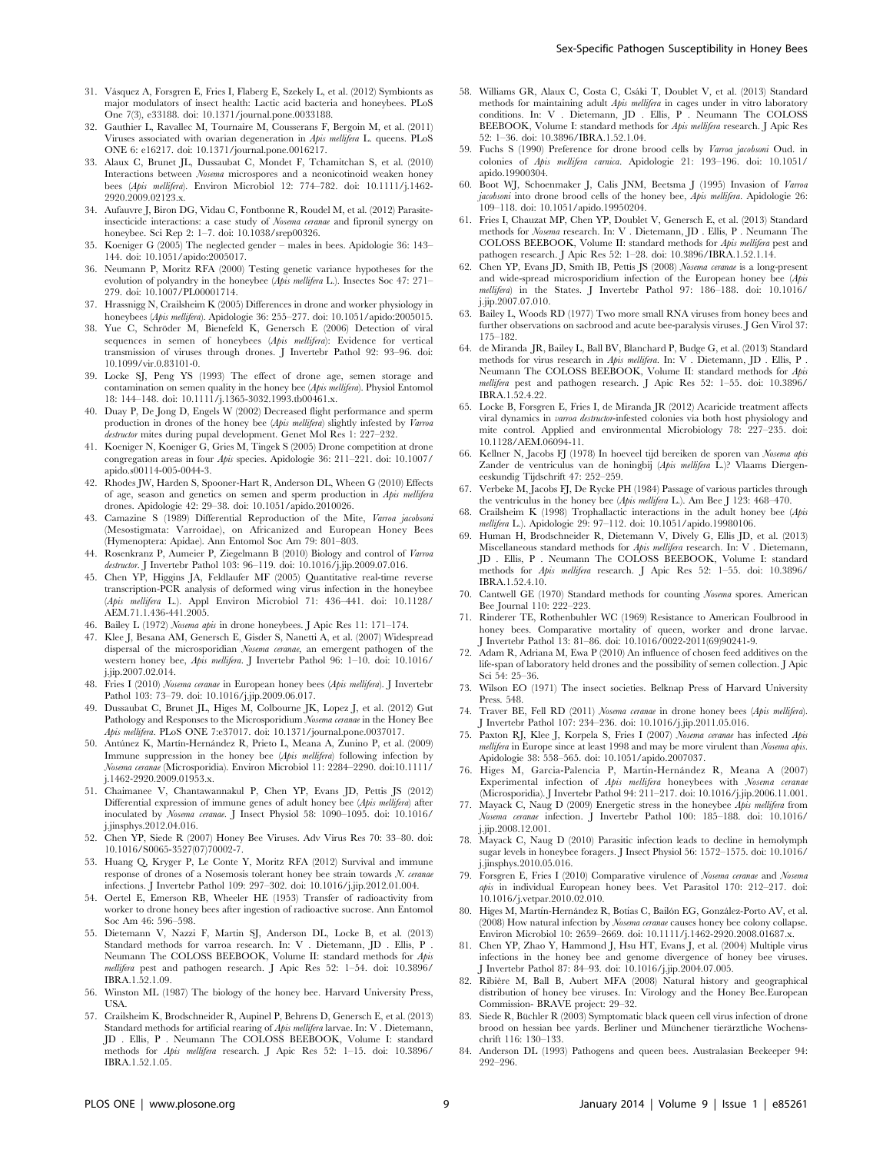- 31. Vásquez A, Forsgren E, Fries I, Flaberg E, Szekely L, et al. (2012) Symbionts as major modulators of insect health: Lactic acid bacteria and honeybees. PLoS One 7(3), e33188. doi: 10.1371/journal.pone.0033188.
- 32. Gauthier L, Ravallec M, Tournaire M, Cousserans F, Bergoin M, et al. (2011) Viruses associated with ovarian degeneration in Apis mellifera L. queens. PLoS ONE 6: e16217. doi: 10.1371/journal.pone.0016217.
- 33. Alaux C, Brunet JL, Dussaubat C, Mondet F, Tchamitchan S, et al. (2010) Interactions between Nosema microspores and a neonicotinoid weaken honey bees (Apis mellifera). Environ Microbiol 12: 774–782. doi: 10.1111/j.1462- 2920.2009.02123.x.
- 34. Aufauvre J, Biron DG, Vidau C, Fontbonne R, Roudel M, et al. (2012) Parasiteinsecticide interactions: a case study of Nosema ceranae and fipronil synergy on honeybee. Sci Rep 2: 1–7. doi: 10.1038/srep00326.
- 35. Koeniger G (2005) The neglected gender males in bees. Apidologie 36: 143– 144. doi: 10.1051/apido:2005017.
- 36. Neumann P, Moritz RFA (2000) Testing genetic variance hypotheses for the evolution of polyandry in the honeybee (Apis mellifera L.). Insectes Soc 47: 271-279. doi: 10.1007/PL00001714.
- 37. Hrassnigg N, Crailsheim K (2005) Differences in drone and worker physiology in honeybees (Apis mellifera). Apidologie 36: 255–277. doi: 10.1051/apido:2005015.
- 38. Yue C, Schröder M, Bienefeld K, Genersch E (2006) Detection of viral sequences in semen of honeybees (Apis mellifera): Evidence for vertical transmission of viruses through drones. J Invertebr Pathol 92: 93–96. doi: 10.1099/vir.0.83101-0.
- 39. Locke SJ, Peng YS (1993) The effect of drone age, semen storage and contamination on semen quality in the honey bee (Apis mellifera). Physiol Entomol 18: 144–148. doi: 10.1111/j.1365-3032.1993.tb00461.x.
- 40. Duay P, De Jong D, Engels W (2002) Decreased flight performance and sperm production in drones of the honey bee (Apis mellifera) slightly infested by Varroa destructor mites during pupal development. Genet Mol Res 1: 227–232.
- 41. Koeniger N, Koeniger G, Gries M, Tingek S (2005) Drone competition at drone congregation areas in four Apis species. Apidologie 36: 211–221. doi: 10.1007/ apido.s00114-005-0044-3.
- 42. Rhodes JW, Harden S, Spooner-Hart R, Anderson DL, Wheen G (2010) Effects of age, season and genetics on semen and sperm production in Apis mellifera drones. Apidologie 42: 29–38. doi: 10.1051/apido.2010026.
- 43. Camazine S (1989) Differential Reproduction of the Mite, Varroa jacobsoni (Mesostigmata: Varroidae), on Africanized and European Honey Bees (Hymenoptera: Apidae). Ann Entomol Soc Am 79: 801–803.
- 44. Rosenkranz P, Aumeier P, Ziegelmann B (2010) Biology and control of Varroa destructor. J Invertebr Pathol 103: 96–119. doi: 10.1016/j.jip.2009.07.016.
- 45. Chen YP, Higgins JA, Feldlaufer MF (2005) Quantitative real-time reverse transcription-PCR analysis of deformed wing virus infection in the honeybee (Apis mellifera L.). Appl Environ Microbiol 71: 436–441. doi: 10.1128/ AEM.71.1.436-441.2005.
- 46. Bailey L (1972) Nosema apis in drone honeybees. J Apic Res 11: 171–174.
- 47. Klee J, Besana AM, Genersch E, Gisder S, Nanetti A, et al. (2007) Widespread dispersal of the microsporidian Nosema ceranae, an emergent pathogen of the western honey bee, Apis mellifera. J Invertebr Pathol 96: 1–10. doi: 10.1016/ j.jip.2007.02.014.
- 48. Fries I (2010) Nosema ceranae in European honey bees (Apis mellifera). J Invertebr Pathol 103: 73–79. doi: 10.1016/j.jip.2009.06.017.
- 49. Dussaubat C, Brunet JL, Higes M, Colbourne JK, Lopez J, et al. (2012) Gut Pathology and Responses to the Microsporidium Nosema ceranae in the Honey Bee Apis mellifera. PLoS ONE 7:e37017. doi: 10.1371/journal.pone.0037017.
- 50. Antúnez K, Martín-Hernández R, Prieto L, Meana A, Zunino P, et al. (2009) Immune suppression in the honey bee (Apis mellifera) following infection by Nosema ceranae (Microsporidia). Environ Microbiol 11: 2284–2290. doi:10.1111/ j.1462-2920.2009.01953.x.
- 51. Chaimanee V, Chantawannakul P, Chen YP, Evans JD, Pettis JS (2012) Differential expression of immune genes of adult honey bee (Apis mellifera) after inoculated by Nosema ceranae. J Insect Physiol 58: 1090–1095. doi: 10.1016/ j.jinsphys.2012.04.016.
- 52. Chen YP, Siede R (2007) Honey Bee Viruses. Adv Virus Res 70: 33–80. doi: 10.1016/S0065-3527(07)70002-7.
- 53. Huang Q, Kryger P, Le Conte Y, Moritz RFA (2012) Survival and immune response of drones of a Nosemosis tolerant honey bee strain towards N. ceranae infections. J Invertebr Pathol 109: 297–302. doi: 10.1016/j.jip.2012.01.004.
- 54. Oertel E, Emerson RB, Wheeler HE (1953) Transfer of radioactivity from worker to drone honey bees after ingestion of radioactive sucrose. Ann Entomol Soc Am 46: 596–598.
- 55. Dietemann V, Nazzi F, Martin SJ, Anderson DL, Locke B, et al. (2013) Standard methods for varroa research. In: V . Dietemann, JD . Ellis, P . Neumann The COLOSS BEEBOOK, Volume II: standard methods for Apis mellifera pest and pathogen research. J Apic Res 52: 1–54. doi: 10.3896/ IBRA.1.52.1.09.
- 56. Winston ML (1987) The biology of the honey bee. Harvard University Press, USA.
- 57. Crailsheim K, Brodschneider R, Aupinel P, Behrens D, Genersch E, et al. (2013) Standard methods for artificial rearing of Apis mellifera larvae. In: V . Dietemann, JD . Ellis, P . Neumann The COLOSS BEEBOOK, Volume I: standard methods for Apis mellifera research. J Apic Res 52: 1–15. doi: 10.3896/ IBRA.1.52.1.05.
- 58. Williams GR, Alaux C, Costa C, Csáki T, Doublet V, et al. (2013) Standard methods for maintaining adult *Apis mellifera* in cages under in vitro laboratory<br>conditions. In: V . Dietemann, JD . Ellis, P . Neumann The COLOSS BEEBOOK, Volume I: standard methods for Apis mellifera research. J Apic Res 52: 1–36. doi: 10.3896/IBRA.1.52.1.04.
- 59. Fuchs S (1990) Preference for drone brood cells by Varroa jacobsoni Oud. in colonies of Apis mellifera carnica. Apidologie 21: 193–196. doi: 10.1051/ apido.19900304.
- 60. Boot WJ, Schoenmaker J, Calis JNM, Beetsma J (1995) Invasion of Varroa jacobsoni into drone brood cells of the honey bee, Apis mellifera. Apidologie 26: 109–118. doi: 10.1051/apido.19950204.
- 61. Fries I, Chauzat MP, Chen YP, Doublet V, Genersch E, et al. (2013) Standard methods for Nosema research. In: V . Dietemann, JD . Ellis, P . Neumann The COLOSS BEEBOOK, Volume II: standard methods for Apis mellifera pest and pathogen research. J Apic Res 52: 1–28. doi: 10.3896/IBRA.1.52.1.14.
- 62. Chen YP, Evans JD, Smith IB, Pettis JS (2008) Nosema ceranae is a long-present and wide-spread microsporidium infection of the European honey bee (Apis mellifera) in the States. J Invertebr Pathol 97: 186–188. doi: 10.1016/ j.jip.2007.07.010.
- 63. Bailey L, Woods RD (1977) Two more small RNA viruses from honey bees and further observations on sacbrood and acute bee-paralysis viruses. J Gen Virol 37: 175–182.
- 64. de Miranda JR, Bailey L, Ball BV, Blanchard P, Budge G, et al. (2013) Standard methods for virus research in Apis mellifera. In: V . Dietemann, JD . Ellis, P Neumann The COLOSS BEEBOOK, Volume II: standard methods for Apis mellifera pest and pathogen research. J Apic Res 52: 1–55. doi: 10.3896/ IBRA.1.52.4.22.
- 65. Locke B, Forsgren E, Fries I, de Miranda JR (2012) Acaricide treatment affects viral dynamics in varroa destructor-infested colonies via both host physiology and mite control. Applied and environmental Microbiology 78: 227–235. doi: 10.1128/AEM.06094-11.
- 66. Kellner N, Jacobs FJ (1978) In hoeveel tijd bereiken de sporen van Nosema apis Zander de ventriculus van de honingbij (Apis mellifera L.)? Vlaams Diergeneeskundig Tijdschrift 47: 252–259.
- 67. Verbeke M, Jacobs FJ, De Rycke PH (1984) Passage of various particles through the ventriculus in the honey bee (Apis mellifera L.). Am Bee J 123: 468–470.
- 68. Crailsheim K (1998) Trophallactic interactions in the adult honey bee (Apis mellifera L.). Apidologie 29: 97–112. doi: 10.1051/apido.19980106.
- 69. Human H, Brodschneider R, Dietemann V, Dively G, Ellis JD, et al. (2013) Miscellaneous standard methods for Apis mellifera research. In: V . Dietemann, JD . Ellis, P . Neumann The COLOSS BEEBOOK, Volume I: standard methods for Apis mellifera research. J Apic Res 52: 1–55. doi: 10.3896/ IBRA.1.52.4.10.
- 70. Cantwell GE (1970) Standard methods for counting Nosema spores. American Bee Journal 110: 222–223.
- 71. Rinderer TE, Rothenbuhler WC (1969) Resistance to American Foulbrood in honey bees. Comparative mortality of queen, worker and drone larvae. J Invertebr Pathol 13: 81–86. doi: 10.1016/0022-2011(69)90241-9.
- 72. Adam R, Adriana M, Ewa P (2010) An influence of chosen feed additives on the life-span of laboratory held drones and the possibility of semen collection. J Apic Sci 54: 25–36.
- 73. Wilson EO (1971) The insect societies. Belknap Press of Harvard University Press. 548.
- 74. Traver BE, Fell RD (2011) Nosema ceranae in drone honey bees (Apis mellifera). J Invertebr Pathol 107: 234–236. doi: 10.1016/j.jip.2011.05.016.
- 75. Paxton RJ, Klee J, Korpela S, Fries I (2007) Nosema ceranae has infected Apis mellifera in Europe since at least 1998 and may be more virulent than Nosema apis. Apidologie 38: 558–565. doi: 10.1051/apido.2007037.
- 76. Higes M, Garcia-Palencia P, Martín-Hernández R, Meana A (2007)<br>Experimental infection of Apis mellifera honeybees with Nosema ceranae (Microsporidia). J Invertebr Pathol 94: 211–217. doi: 10.1016/j.jip.2006.11.001.
- 77. Mayack C, Naug D (2009) Energetic stress in the honeybee Apis mellifera from Nosema ceranae infection. J Invertebr Pathol 100: 185–188. doi: 10.1016/ j.jip.2008.12.001.
- 78. Mayack C, Naug D (2010) Parasitic infection leads to decline in hemolymph sugar levels in honeybee foragers. J Insect Physiol 56: 1572–1575. doi: 10.1016/ j.jinsphys.2010.05.016.
- 79. Forsgren E, Fries I (2010) Comparative virulence of Nosema ceranae and Nosema apis in individual European honey bees. Vet Parasitol 170: 212–217. doi: 10.1016/j.vetpar.2010.02.010.
- 80. Higes M, Martín-Hernández R, Botías C, Bailón EG, González-Porto AV, et al. (2008) How natural infection by Nosema ceranae causes honey bee colony collapse. Environ Microbiol 10: 2659–2669. doi: 10.1111/j.1462-2920.2008.01687.x.
- 81. Chen YP, Zhao Y, Hammond J, Hsu HT, Evans J, et al. (2004) Multiple virus infections in the honey bee and genome divergence of honey bee viruses. J Invertebr Pathol 87: 84–93. doi: 10.1016/j.jip.2004.07.005.
- 82. Ribière M, Ball B, Aubert MFA (2008) Natural history and geographical distribution of honey bee viruses. In: Virology and the Honey Bee.European Commission- BRAVE project: 29–32.
- 83. Siede R, Büchler R (2003) Symptomatic black queen cell virus infection of drone brood on hessian bee yards. Berliner und Münchener tierärztliche Wochenschrift 116: 130–133.
- 84. Anderson DL (1993) Pathogens and queen bees. Australasian Beekeeper 94: 292–296.